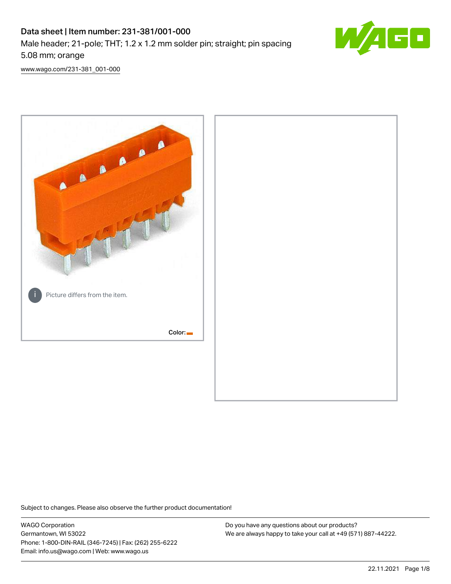## Data sheet | Item number: 231-381/001-000 Male header; 21-pole; THT; 1.2 x 1.2 mm solder pin; straight; pin spacing 5.08 mm; orange



[www.wago.com/231-381\\_001-000](http://www.wago.com/231-381_001-000)



Subject to changes. Please also observe the further product documentation!

WAGO Corporation Germantown, WI 53022 Phone: 1-800-DIN-RAIL (346-7245) | Fax: (262) 255-6222 Email: info.us@wago.com | Web: www.wago.us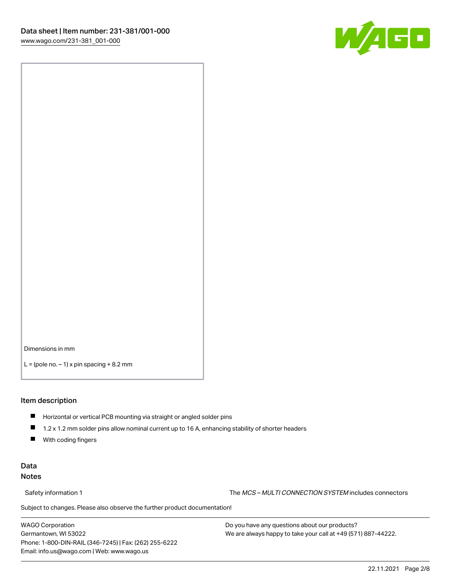

Dimensions in mm

 $L =$  (pole no.  $-1$ ) x pin spacing  $+8.2$  mm

#### Item description

- **Horizontal or vertical PCB mounting via straight or angled solder pins**
- 1.2 x 1.2 mm solder pins allow nominal current up to 16 A, enhancing stability of shorter headers
- $\blacksquare$ With coding fingers

### Data Notes

Safety information 1 The MCS – MULTI CONNECTION SYSTEM includes connectors

Subject to changes. Please also observe the further product documentation!  $\nu$ 

WAGO Corporation Germantown, WI 53022 Phone: 1-800-DIN-RAIL (346-7245) | Fax: (262) 255-6222 Email: info.us@wago.com | Web: www.wago.us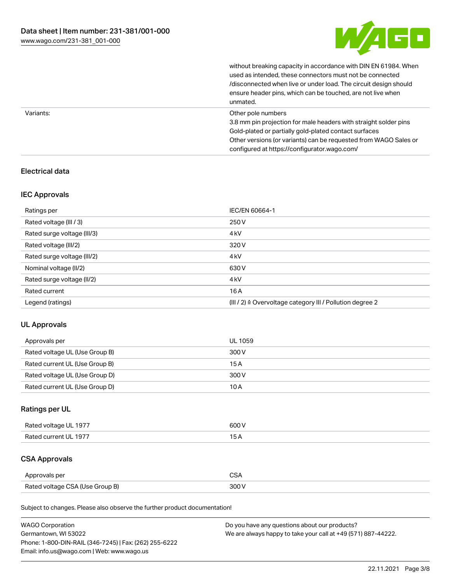

without breaking capacity in accordance with DIN EN 61984. When

|           | used as intended, these connectors must not be connected<br>/disconnected when live or under load. The circuit design should<br>ensure header pins, which can be touched, are not live when<br>unmated.                                                             |
|-----------|---------------------------------------------------------------------------------------------------------------------------------------------------------------------------------------------------------------------------------------------------------------------|
| Variants: | Other pole numbers<br>3.8 mm pin projection for male headers with straight solder pins<br>Gold-plated or partially gold-plated contact surfaces<br>Other versions (or variants) can be requested from WAGO Sales or<br>configured at https://configurator.wago.com/ |

## Electrical data

### IEC Approvals

| Ratings per                 | IEC/EN 60664-1                                            |
|-----------------------------|-----------------------------------------------------------|
| Rated voltage (III / 3)     | 250 V                                                     |
| Rated surge voltage (III/3) | 4 <sub>k</sub> V                                          |
| Rated voltage (III/2)       | 320 V                                                     |
| Rated surge voltage (III/2) | 4 <sub>k</sub> V                                          |
| Nominal voltage (II/2)      | 630 V                                                     |
| Rated surge voltage (II/2)  | 4 <sub>k</sub> V                                          |
| Rated current               | 16A                                                       |
| Legend (ratings)            | (III / 2) ≙ Overvoltage category III / Pollution degree 2 |

### UL Approvals

| Approvals per                  | UL 1059 |
|--------------------------------|---------|
| Rated voltage UL (Use Group B) | 300 V   |
| Rated current UL (Use Group B) | 15 A    |
| Rated voltage UL (Use Group D) | 300 V   |
| Rated current UL (Use Group D) | 10 A    |

## Ratings per UL

| Rated voltage UL 1977 | 600 V |
|-----------------------|-------|
| Rated current UL 1977 |       |

## CSA Approvals

| Approvals per                   | ~~    |
|---------------------------------|-------|
| Rated voltage CSA (Use Group B) | 3UU 1 |

Subject to changes. Please also observe the further product documentation!

| <b>WAGO Corporation</b>                                | Do you have any questions about our products?                 |
|--------------------------------------------------------|---------------------------------------------------------------|
| Germantown, WI 53022                                   | We are always happy to take your call at +49 (571) 887-44222. |
| Phone: 1-800-DIN-RAIL (346-7245)   Fax: (262) 255-6222 |                                                               |
| Email: info.us@wago.com   Web: www.wago.us             |                                                               |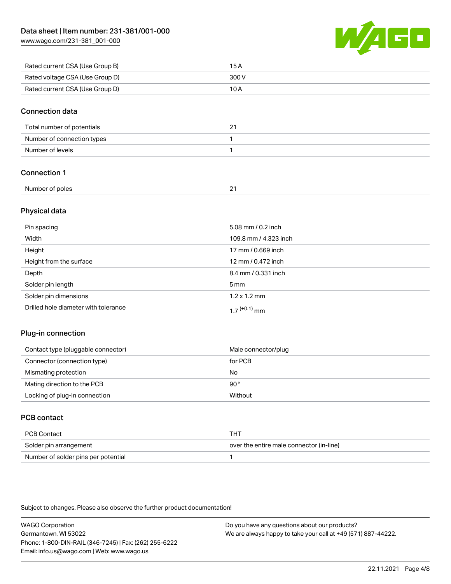[www.wago.com/231-381\\_001-000](http://www.wago.com/231-381_001-000)



| Rated current CSA (Use Group B) | 15 A  |
|---------------------------------|-------|
| Rated voltage CSA (Use Group D) | 300 V |
| Rated current CSA (Use Group D) | 10 A  |

#### Connection data

| Total number of potentials | <u>.</u> |
|----------------------------|----------|
| Number of connection types |          |
| Number of levels           |          |

## Connection 1

| Number of poles |  |
|-----------------|--|
|                 |  |

### Physical data

| Pin spacing                          | 5.08 mm / 0.2 inch    |
|--------------------------------------|-----------------------|
| Width                                | 109.8 mm / 4.323 inch |
| Height                               | 17 mm / 0.669 inch    |
| Height from the surface              | 12 mm / 0.472 inch    |
| Depth                                | 8.4 mm / 0.331 inch   |
| Solder pin length                    | $5 \,\mathrm{mm}$     |
| Solder pin dimensions                | $1.2 \times 1.2$ mm   |
| Drilled hole diameter with tolerance | $17^{(+0.1)}$ mm      |

### Plug-in connection

| Contact type (pluggable connector) | Male connector/plug |
|------------------------------------|---------------------|
| Connector (connection type)        | for PCB             |
| Mismating protection               | No                  |
| Mating direction to the PCB        | 90°                 |
| Locking of plug-in connection      | Without             |

## PCB contact

| PCB Contact                         | тнт                                      |
|-------------------------------------|------------------------------------------|
| Solder pin arrangement              | over the entire male connector (in-line) |
| Number of solder pins per potential |                                          |

Subject to changes. Please also observe the further product documentation!

WAGO Corporation Germantown, WI 53022 Phone: 1-800-DIN-RAIL (346-7245) | Fax: (262) 255-6222 Email: info.us@wago.com | Web: www.wago.us Do you have any questions about our products? We are always happy to take your call at +49 (571) 887-44222.

22.11.2021 Page 4/8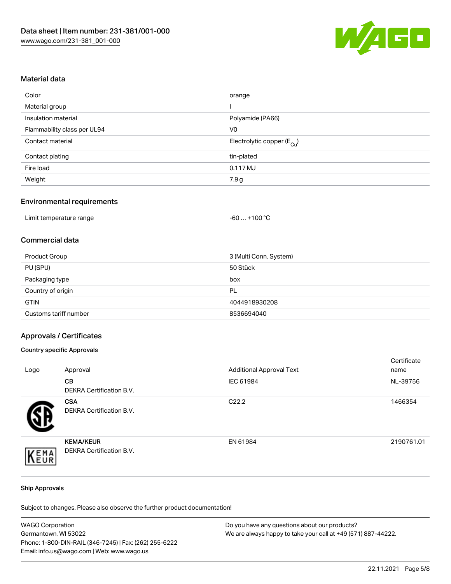

#### Material data

| Color                       | orange                                 |
|-----------------------------|----------------------------------------|
| Material group              |                                        |
| Insulation material         | Polyamide (PA66)                       |
| Flammability class per UL94 | V <sub>0</sub>                         |
| Contact material            | Electrolytic copper (E <sub>Cu</sub> ) |
| Contact plating             | tin-plated                             |
| Fire load                   | 0.117 MJ                               |
| Weight                      | 7.9 g                                  |

### Environmental requirements

| Limit temperature range | $+100 °C$<br>-60 |
|-------------------------|------------------|
|-------------------------|------------------|

## Commercial data

| Product Group         | 3 (Multi Conn. System) |
|-----------------------|------------------------|
| PU (SPU)              | 50 Stück               |
| Packaging type        | box                    |
| Country of origin     | PL                     |
| <b>GTIN</b>           | 4044918930208          |
| Customs tariff number | 8536694040             |

#### Approvals / Certificates

#### Country specific Approvals

| Logo        | Approval                                     | <b>Additional Approval Text</b> | Certificate<br>name |
|-------------|----------------------------------------------|---------------------------------|---------------------|
|             | CB<br>DEKRA Certification B.V.               | IEC 61984                       | NL-39756            |
|             | <b>CSA</b><br>DEKRA Certification B.V.       | C <sub>22.2</sub>               | 1466354             |
| EMA<br>FIIR | <b>KEMA/KEUR</b><br>DEKRA Certification B.V. | EN 61984                        | 2190761.01          |

#### Ship Approvals

Subject to changes. Please also observe the further product documentation!

| <b>WAGO Corporation</b>                                | Do you have any questions about our products?                 |
|--------------------------------------------------------|---------------------------------------------------------------|
| Germantown, WI 53022                                   | We are always happy to take your call at +49 (571) 887-44222. |
| Phone: 1-800-DIN-RAIL (346-7245)   Fax: (262) 255-6222 |                                                               |
| Email: info.us@wago.com   Web: www.wago.us             |                                                               |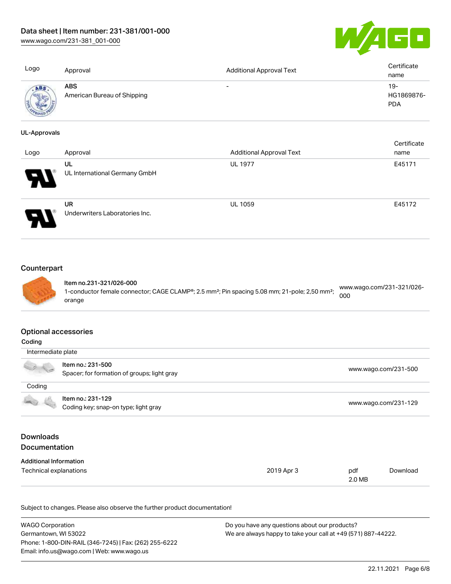[www.wago.com/231-381\\_001-000](http://www.wago.com/231-381_001-000)



| Logo                | Approval                           | <b>Additional Approval Text</b> | Certificate<br>name  |
|---------------------|------------------------------------|---------------------------------|----------------------|
| ABS                 | ABS<br>American Bureau of Shipping | $\overline{\phantom{0}}$        | $19 -$<br>HG1869876- |
|                     |                                    |                                 | <b>PDA</b>           |
| <b>UL-Approvals</b> |                                    |                                 |                      |
|                     |                                    |                                 | Certificate          |
| Logo                | Approval                           | <b>Additional Approval Text</b> | name                 |
|                     | UL                                 | <b>UL 1977</b>                  | E45171               |
|                     | UL International Germany GmbH      |                                 |                      |



## **Counterpart**



Item no.231-321/026-000 1-conductor female connector; CAGE CLAMP®; 2.5 mm²; Pin spacing 5.08 mm; 21-pole; 2,50 mm²; orange [www.wago.com/231-321/026-](https://www.wago.com/231-321/026-000) [000](https://www.wago.com/231-321/026-000)

#### Optional accessories

| Coding                                   |                                                                  |                      |               |                      |
|------------------------------------------|------------------------------------------------------------------|----------------------|---------------|----------------------|
|                                          | Intermediate plate                                               |                      |               |                      |
|                                          | Item no.: 231-500<br>Spacer; for formation of groups; light gray |                      |               | www.wago.com/231-500 |
| Coding                                   |                                                                  |                      |               |                      |
|                                          | Item no.: 231-129<br>Coding key; snap-on type; light gray        | www.wago.com/231-129 |               |                      |
| <b>Downloads</b><br><b>Documentation</b> |                                                                  |                      |               |                      |
| <b>Additional Information</b>            |                                                                  |                      |               |                      |
| Technical explanations                   |                                                                  | 2019 Apr 3           | pdf<br>2.0 MB | Download             |

Subject to changes. Please also observe the further product documentation!

| WAGO Corporation                                       | Do you have any questions about our products?                 |
|--------------------------------------------------------|---------------------------------------------------------------|
| Germantown, WI 53022                                   | We are always happy to take your call at +49 (571) 887-44222. |
| Phone: 1-800-DIN-RAIL (346-7245)   Fax: (262) 255-6222 |                                                               |
| Email: info.us@wago.com   Web: www.wago.us             |                                                               |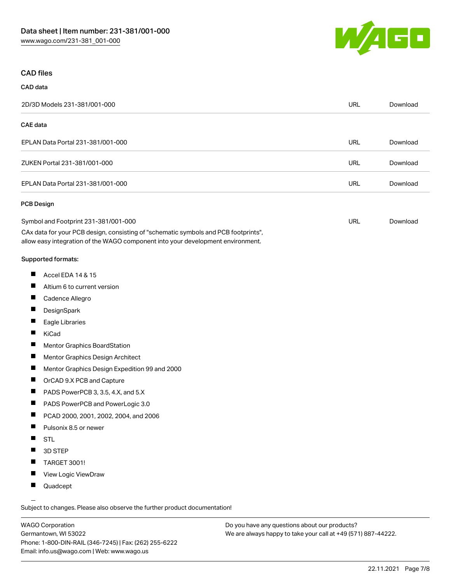

#### CAD files

# CAD data 2D/3D Models 231-381/001-000 URL [Download](https://www.wago.com/global/d/3D_URLS_231-381_001-000) CAE data EPLAN Data Portal 231-381/001-000 URL [Download](https://www.wago.com/global/d/EPLAN_URLS_231-381%252F001-000) ZUKEN Portal 231-381/001-000 URL [Download](https://www.wago.com/global/d/Zuken_URLS_231-381_001-000) EPLAN Data Portal 231-381/001-000 URL [Download](https://www.wago.com/global/d/EPLAN_URLS_231-381_001-000) PCB Design Symbol and Footprint 231-381/001-000 CAx data for your PCB design, consisting of "schematic symbols and PCB footprints", allow easy integration of the WAGO component into your development environment. URL [Download](https://www.wago.com/global/d/UltraLibrarian_URLS_231-381_001-000)

#### Supported formats:

- $\blacksquare$ Accel EDA 14 & 15
- П Altium 6 to current version
- П Cadence Allegro
- П **DesignSpark**
- П Eagle Libraries
- $\blacksquare$ KiCad
- П Mentor Graphics BoardStation
- $\blacksquare$ Mentor Graphics Design Architect
- $\blacksquare$ Mentor Graphics Design Expedition 99 and 2000
- П OrCAD 9.X PCB and Capture
- $\blacksquare$ PADS PowerPCB 3, 3.5, 4.X, and 5.X
- $\blacksquare$ PADS PowerPCB and PowerLogic 3.0
- $\blacksquare$ PCAD 2000, 2001, 2002, 2004, and 2006
- $\blacksquare$ Pulsonix 8.5 or newer
- $\blacksquare$ STL
- $\blacksquare$ 3D STEP
- $\blacksquare$ TARGET 3001!
- $\blacksquare$ View Logic ViewDraw
- $\blacksquare$ Quadcept

.<br>Subject to changes. Please also observe the further product documentation!

WAGO Corporation Germantown, WI 53022 Phone: 1-800-DIN-RAIL (346-7245) | Fax: (262) 255-6222 Email: info.us@wago.com | Web: www.wago.us